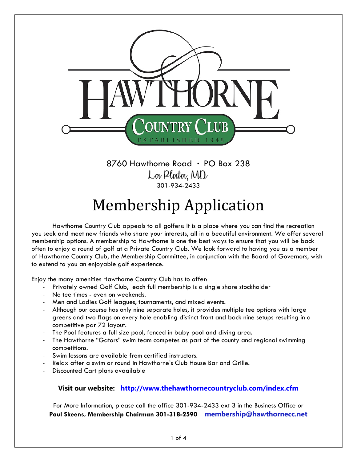

 $8760$  Hawthorne Road  $\cdot$  PO Box 238 Lov Ploitov, MD 301-934-2433

## Membership Application

Hawthorne Country Club appeals to all golfers: It is a place where you can find the recreation you seek and meet new friends who share your interests, all in a beautiful environment. We offer several membership options. A membership to Hawthorne is one the best ways to ensure that you will be back often to enjoy a round of golf at a Private Country Club. We look forward to having you as a member of Hawthorne Country Club, the Membership Committee, in conjunction with the Board of Governors, wish to extend to you an enjoyable golf experience.

Enjoy the many amenities Hawthorne Country Club has to offer:

- Privately owned Golf Club, each full membership is a single share stockholder
- No tee times even on weekends.
- Men and Ladies Golf leagues, tournaments, and mixed events.
- Although our course has only nine separate holes, it provides multiple tee options with large greens and two flags on every hole enabling distinct front and back nine setups resulting in a competitive par 72 layout.
- The Pool features a full size pool, fenced in baby pool and diving area.
- The Hawthorne "Gators" swim team competes as part of the county and regional swimming competitions.
- Swim lessons are available from certified instructors.
- Relax after a swim or round in Hawthorne's Club House Bar and Grille.
- Discounted Cart plans avaailable

## **Visit our website: http://www.thehawthornecountryclub.com/index.cfm**

For More Information, please call the office 301-934-2433 ext 3 in the Business Office or **Paul Skeens, Membership Chairman 301-318-2590 membership@hawthornecc.net**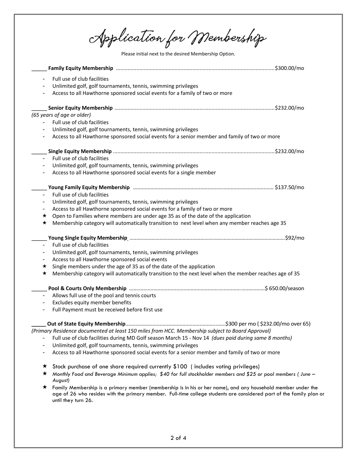Application for Membership

Please initial next to the desired Membership Option.

| $\qquad \qquad -$        | Full use of club facilities                                                                                                                |  |
|--------------------------|--------------------------------------------------------------------------------------------------------------------------------------------|--|
|                          | Unlimited golf, golf tournaments, tennis, swimming privileges                                                                              |  |
|                          | Access to all Hawthorne sponsored social events for a family of two or more                                                                |  |
|                          |                                                                                                                                            |  |
|                          |                                                                                                                                            |  |
|                          | (65 years of age or older)                                                                                                                 |  |
|                          | Full use of club facilities                                                                                                                |  |
|                          | Unlimited golf, golf tournaments, tennis, swimming privileges                                                                              |  |
| -                        | Access to all Hawthorne sponsored social events for a senior member and family of two or more                                              |  |
|                          |                                                                                                                                            |  |
| $-$                      | Full use of club facilities                                                                                                                |  |
| $\qquad \qquad -$        | Unlimited golf, golf tournaments, tennis, swimming privileges                                                                              |  |
| $\overline{\phantom{a}}$ | Access to all Hawthorne sponsored social events for a single member                                                                        |  |
|                          |                                                                                                                                            |  |
|                          |                                                                                                                                            |  |
| $-$                      | Full use of club facilities                                                                                                                |  |
| -                        | Unlimited golf, golf tournaments, tennis, swimming privileges                                                                              |  |
| -                        | Access to all Hawthorne sponsored social events for a family of two or more                                                                |  |
| ★                        | Open to Families where members are under age 35 as of the date of the application                                                          |  |
| ★                        | Membership category will automatically transition to next level when any member reaches age 35                                             |  |
|                          |                                                                                                                                            |  |
| $\overline{\phantom{0}}$ | Full use of club facilities                                                                                                                |  |
| -                        | Unlimited golf, golf tournaments, tennis, swimming privileges                                                                              |  |
| -                        | Access to all Hawthorne sponsored social events                                                                                            |  |
| ★                        | Single members under the age of 35 as of the date of the application                                                                       |  |
| ★                        | Membership category will automatically transition to the next level when the member reaches age of 35                                      |  |
|                          |                                                                                                                                            |  |
| $\equiv$                 |                                                                                                                                            |  |
| $\qquad \qquad -$        | Allows full use of the pool and tennis courts<br>Excludes equity member benefits                                                           |  |
| $\qquad \qquad -$        | Full Payment must be received before first use                                                                                             |  |
|                          |                                                                                                                                            |  |
|                          |                                                                                                                                            |  |
|                          | (Primary Residence documented at least 150 miles from HCC. Membership subject to Board Approval)                                           |  |
|                          | Full use of club facilities during MD Golf season March 15 - Nov 14 (dues paid during same 8 months)                                       |  |
| -                        | Unlimited golf, golf tournaments, tennis, swimming privileges                                                                              |  |
|                          | Access to all Hawthorne sponsored social events for a senior member and family of two or more                                              |  |
| ★                        | Stock purchase of one share required currently \$100 (includes voting privileges)                                                          |  |
| ★                        | Monthly Food and Beverage Minimum applies; \$40 for full stockholder members and \$25 or pool members (June -                              |  |
|                          | August)                                                                                                                                    |  |
| $\star$                  | Family Membership is a primary member (membership is in his or her name), and any household member under the                               |  |
|                          | age of 26 who resides with the primary member. Full-time college students are considered part of the family plan or<br>until they turn 26. |  |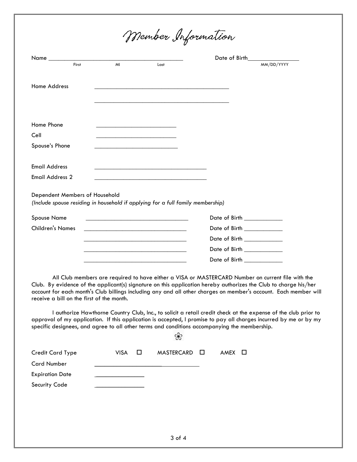Member Information

| $Name_$                                                                         |    |                                                                                                                       | Date of Birth                       |            |
|---------------------------------------------------------------------------------|----|-----------------------------------------------------------------------------------------------------------------------|-------------------------------------|------------|
| First                                                                           | MI | Last                                                                                                                  |                                     | MM/DD/YYYY |
|                                                                                 |    |                                                                                                                       |                                     |            |
| <b>Home Address</b>                                                             |    |                                                                                                                       |                                     |            |
|                                                                                 |    |                                                                                                                       |                                     |            |
|                                                                                 |    |                                                                                                                       |                                     |            |
| Home Phone                                                                      |    |                                                                                                                       |                                     |            |
| Cell                                                                            |    | <u> 1989 - Johann John Stone, market fan it ferstjer fan de fan it ferstjer fan it ferstjer fan it ferstjer fan i</u> |                                     |            |
| Spouse's Phone                                                                  |    |                                                                                                                       |                                     |            |
|                                                                                 |    |                                                                                                                       |                                     |            |
| <b>Email Address</b>                                                            |    |                                                                                                                       |                                     |            |
| <b>Email Address 2</b>                                                          |    |                                                                                                                       |                                     |            |
| Dependent Members of Household                                                  |    |                                                                                                                       |                                     |            |
| (Include spouse residing in household if applying for a full family membership) |    |                                                                                                                       |                                     |            |
| <b>Spouse Name</b>                                                              |    |                                                                                                                       | Date of Birth ____________          |            |
| <b>Children's Names</b>                                                         |    |                                                                                                                       | Date of Birth ___________           |            |
|                                                                                 |    |                                                                                                                       | Date of Birth ___________           |            |
|                                                                                 |    |                                                                                                                       | Date of Birth ___________           |            |
|                                                                                 |    |                                                                                                                       | Date of Birth <b>Exercise State</b> |            |

All Club members are required to have either a VISA or MASTERCARD Number on current file with the Club. By evidence of the applicant(s) signature on this application hereby authorizes the Club to charge his/her account for each month's Club billings including any and all other charges on member's account. Each member will receive a bill on the first of the month.

I authorize Hawthorne Country Club, Inc., to solicit a retail credit check at the expense of the club prior to approval of my application. If this application is accepted, I promise to pay all charges incurred by me or by my specific designees, and agree to all other terms and conditions accompanying the membership.

❀

| Credit Card Type       | VISA O | $MASTERCARD$ $\Box$ | AMEX O |
|------------------------|--------|---------------------|--------|
| Card Number            |        |                     |        |
| <b>Expiration Date</b> |        |                     |        |
| Security Code          |        |                     |        |